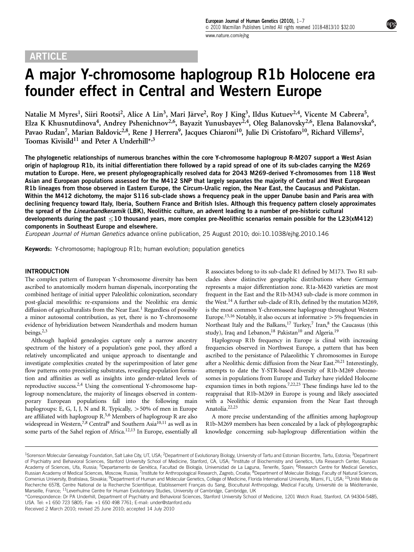# ARTICLE

# A major Y-chromosome haplogroup R1b Holocene era founder effect in Central and Western Europe

Natalie M Myres<sup>1</sup>, Siiri Rootsi<sup>2</sup>, Alice A Lin<sup>3</sup>, Mari Järve<sup>2</sup>, Roy J King<sup>3</sup>, Ildus Kutuev<sup>2,4</sup>, Vicente M Cabrera<sup>5</sup>, Elza K Khusnutdinova<sup>4</sup>, Andrey Pshenichnov<sup>2,6</sup>, Bayazit Yunusbayev<sup>2,4</sup>, Oleg Balanovsky<sup>2,6</sup>, Elena Balanovska<sup>6</sup>, Pavao Rudan<sup>7</sup>, Marian Baldovic<sup>2,8</sup>, Rene J Herrera<sup>9</sup>, Jacques Chiaroni<sup>10</sup>, Julie Di Cristofaro<sup>10</sup>, Richard Villems<sup>2</sup>, Toomas Kivisild<sup>11</sup> and Peter A Underhill\*, $3$ 

The phylogenetic relationships of numerous branches within the core Y-chromosome haplogroup R-M207 support a West Asian origin of haplogroup R1b, its initial differentiation there followed by a rapid spread of one of its sub-clades carrying the M269 mutation to Europe. Here, we present phylogeographically resolved data for 2043 M269-derived Y-chromosomes from 118 West Asian and European populations assessed for the M412 SNP that largely separates the majority of Central and West European R1b lineages from those observed in Eastern Europe, the Circum-Uralic region, the Near East, the Caucasus and Pakistan. Within the M412 dichotomy, the major S116 sub-clade shows a frequency peak in the upper Danube basin and Paris area with declining frequency toward Italy, Iberia, Southern France and British Isles. Although this frequency pattern closely approximates the spread of the Linearbandkeramik (LBK), Neolithic culture, an advent leading to a number of pre-historic cultural developments during the past  $\leq$ 10 thousand years, more complex pre-Neolithic scenarios remain possible for the L23(xM412) components in Southeast Europe and elsewhere.

European Journal of Human Genetics advance online publication, 25 August 2010; doi[:10.1038/ejhg.2010.146](http://dx.doi.org/10.1038/ejhg.2010.146)

Keywords: Y-chromosome; haplogroup R1b; human evolution; population genetics

# INTRODUCTION

The complex pattern of European Y-chromosome diversity has been ascribed to anatomically modern human dispersals, incorporating the combined heritage of initial upper Paleolithic colonization, secondary post-glacial mesolithic re-expansions and the Neolithic era demic diffusion of agriculturalists from the Near East.<sup>1</sup> Regardless of possibly a minor autosomal contribution, as yet, there is no Y-chromosome evidence of hybridization between Neanderthals and modern human beings.<sup>2,3</sup>

Although haploid genealogies capture only a narrow ancestry spectrum of the history of a population's gene pool, they afford a relatively uncomplicated and unique approach to disentangle and investigate complexities created by the superimposition of later gene flow patterns onto preexisting substrates, revealing population formation and affinities as well as insights into gender-related levels of reproductive success[.2,4](#page-6-0) Using the conventional Y-chromosome haplogroup nomenclature, the majority of lineages observed in contemporary European populations fall into the following main haplogroups: E, G, I, J, N and R. Typically,  $>50\%$  of men in Europe are affiliated with haplogroup R[.5,6](#page-6-0) Members of haplogroup R are also widespread in Western,<sup>7,8</sup> Central<sup>9</sup> and Southern Asia<sup>10,11</sup> as well as in some parts of the Sahel region of Africa.<sup>12,13</sup> In Europe, essentially all R associates belong to its sub-clade R1 defined by M173. Two R1 subclades show distinctive geographic distributions where Germany represents a major differentiation zone. R1a-M420 varieties are most frequent in the East and the R1b-M343 sub-clade is more common in the West.<sup>14</sup> A further sub-clade of R1b, defined by the mutation M269, is the most common Y-chromosome haplogroup throughout Western Europe.<sup>15,16</sup> Notably, it also occurs at informative  $>$  5% frequencies in Northeast Italy and the Balkans,<sup>[17](#page-6-0)</sup> Turkey,<sup>7</sup> Iran,<sup>8</sup> the Caucasus (this study), Iraq and Lebanon,<sup>[18](#page-6-0)</sup> Pakistan<sup>[10](#page-6-0)</sup> and Algeria.<sup>19</sup>

Haplogroup R1b frequency in Europe is clinal with increasing frequencies observed in Northwest Europe, a pattern that has been ascribed to the persistance of Palaeolithic Y chromosomes in Europe after a Neolithic demic diffusion from the Near East[.20,21](#page-6-0) Interestingly, attempts to date the Y-STR-based diversity of R1b-M269 chromosomes in populations from Europe and Turkey have yielded Holocene expansion times in both regions.<sup>[7,22,23](#page-6-0)</sup> These findings have led to the reappraisal that R1b-M269 in Europe is young and likely associated with a Neolithic demic expansion from the Near East through Anatolia[.22,23](#page-6-0)

A more precise understanding of the affinities among haplogroup R1b-M269 members has been concealed by a lack of phylogeographic knowledge concerning sub-haplogroup differentiation within the

<sup>&</sup>lt;sup>1</sup>Sorenson Molecular Genealogy Foundation, Salt Lake City, UT, USA; <sup>2</sup>Department of Evolutionary Biology, University of Tartu and Estonian Biocentre, Tartu, Estonia; <sup>3</sup>Department of Psychiatry and Behavioral Sciences, Stanford University School of Medicine, Stanford, CA, USA; <sup>4</sup>Institute of Biochemistry and Genetics, Ufa Research Center, Russian Academy of Sciences, Ufa, Russia; <sup>5</sup>Departamento de Genética, Facultad de Biología, Universidad de La Laguna, Tenerife, Spain; <sup>6</sup>Research Centre for Medical Genetics, Russian Academy of Medical Sciences, Moscow, Russia; <sup>7</sup>Institute for Anthropological Research, Zagreb, Croatia; <sup>8</sup>Department of Molecular Biology, Faculty of Natural Sciences, Comenius University, Bratislava, Slovakia; <sup>9</sup>Department of Human and Molecular Genetics, College of Medicine, Florida International University, Miami, FL, USA; <sup>10</sup>Unité Mixte de Recherche 6578, Centre National de la Recherche Scientifique, Etablissement Français du Sang, Biocultural Anthropology, Medical Faculty, Université de la Méditerranée, Marseille, France; <sup>11</sup>Leverhulme Centre for Human Evolutionary Studies, University of Cambridge, Cambridge, UK

<sup>\*</sup>Correspondence: Dr PA Underhill, Department of Psychiatry and Behavioral Sciences, Stanford University School of Medicine, 1201 Welch Road, Stanford, CA 94304-5485, USA. Tel: +1 650 723 5805; Fax: +1 650 498 7761; E-mail: [under@stanford.edu](mailto:under@stanford.edu)

Received 2 March 2010; revised 25 June 2010; accepted 14 July 2010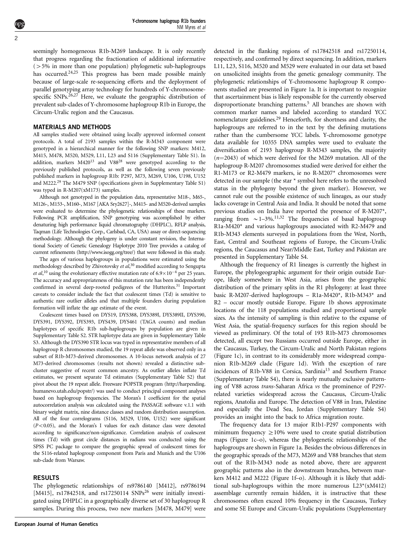Y-chromosome haplogroup R1b founders NM Myres et al

seemingly homogeneous R1b-M269 landscape. It is only recently that progress regarding the fractionation of additional informative  $(55\%$  in more than one population) phylogenetic sub-haplogroups has occurred.<sup>24,25</sup> This progress has been made possible mainly because of large-scale re-sequencing efforts and the deployment of parallel genotyping array technology for hundreds of Y-chromosomespecific SNPs.<sup>26,27</sup> Here, we evaluate the geographic distribution of prevalent sub-clades of Y-chromosome haplogroup R1b in Europe, the Circum-Uralic region and the Caucasus.

#### MATERIALS AND METHODS

All samples studied were obtained using locally approved informed consent protocols. A total of 2193 samples within the R-M343 component were genotyped in a hierarchical manner for the following SNP markers: M412, M415, M478, M520, M529, L11, L23 and S116 (Supplementary Table S1). In addition, markers  $M420^{13}$  and  $V88^{28}$  were genotyped according to the previously published protocols, as well as the following seven previously published markers in haplogroup R1b: P297, M73, M269, U106, U198, U152 and M222[.29](#page-6-0) The M479 SNP (specifications given in Supplementary Table S1) was typed in R-M207(xM173) samples.

Although not genotyped in the population data, representative M18-, M65-, M126-, M153-, M160-, M167 [AKA Sry2627]-, M415- and M520-derived samples were evaluated to determine the phylogenetic relationships of these markers. Following PCR amplification, SNP genotyping was accomplished by either denaturing high performance liquid chromatography (DHPLC), RFLP analysis, Taqman (Life Technologies Corp., Carlsbad, CA, USA) assay or direct-sequencing methodology. Although the phylogeny is under constant revision, the International Society of Genetic Genealogy Haplotype 2010 Tree provides a catalog of current refinements [\(http://www.isogg.org/tree/\)](http://www.isogg.org/tree/) that were followed in this study.

The ages of various haplogroups in populations were estimated using the methodology described by Zhivotovsky et al,<sup>[30](#page-6-0)</sup> modified according to Sengupta *et al*,<sup>[10](#page-6-0)</sup> using the evolutionary effective mutation rate of  $6.9 \times 10^{-4}$  per 25 years. The accuracy and appropriateness of this mutation rate has been independently confirmed in several deep-rooted pedigrees of the Hutterites.<sup>31</sup> Important caveats to consider include the fact that coalescent times (Td) is sensitive to authentic rare outlier alleles and that multiple founders during population formation will inflate the age estimate of the event.

Coalescent times based on DYS19, DYS388, DYS389I, DYS389II, DYS390, DYS391, DYS392, DYS393, DYS439, DYS461 (TAGA counts) and median haplotypes of specific R1b sub-haplogroups by population are given in Supplementary Table S2. STR haplotype data are given in Supplementary Table S3. Although the DYS390 STR locus was typed in representative members of all haplogroup R chromosomes studied, the 19 repeat allele was observed only in a subset of R1b-M73-derived chromosomes. A 10-locus network analysis of 27 M73-derived chromosomes (results not shown) revealed a distinctive subcluster suggestive of recent common ancestry. As outlier alleles inflate Td estimates, we present separate Td estimates (Supplementary Table S2) that pivot about the 19 repeat allele. Freeware POPSTR program [\(http://harpending.](http://harpending.humanevo.utah.edu/popstr/) [humanevo.utah.edu/popstr/\)](http://harpending.humanevo.utah.edu/popstr/) was used to conduct principal component analyses based on haplogroup frequencies. The Moran's I coefficient for the spatial autocorrelation analysis was calculated using the PASSAGE software v.1.1 with binary weight matrix, nine distance classes and random distribution assumption. All of the four correlograms (S116, M529, U106, U152) were significant  $(P<0.05)$ , and the Moran's I values for each distance class were denoted according to significance/non-significance. Correlation analysis of coalescent times (Td) with great circle distances in radians was conducted using the SPSS PC package to compare the geographic spread of coalescent times for the S116-related haplogroup component from Paris and Munich and the U106 sub-clade from Warsaw.

### RESULTS

The phylogenetic relationships of rs9786140 [M412], rs9786194 [M415], rs17842518, and rs17250114 SNPs<sup>[26](#page-6-0)</sup> were initially investigated using DHPLC in a geographically diverse set of 30 haplogroup R samples. During this process, two new markers [M478, M479] were

detected in the flanking regions of rs17842518 and rs17250114, respectively, and confirmed by direct sequencing. In addition, markers L11, L23, S116, M520 and M529 were evaluated in our data set based on unsolicited insights from the genetic genealogy community. The phylogenetic relationships of Y-chromosome haplogroup R components studied are presented in [Figure 1a.](#page-2-0) It is important to recognize that ascertainment bias is likely responsible for the currently observed disproportionate branching patterns.<sup>5</sup> All branches are shown with common marker names and labeled according to standard YCC nomenclature guidelines[.29](#page-6-0) Henceforth, for shortness and clarity, the haplogroups are referred to in the text by the defining mutations rather than the cumbersome YCC labels. Y-chromosome genotype data available for 10355 DNA samples were used to evaluate the diversification of 2193 haplogroup R-M343 samples, the majority  $(n=2043)$  of which were derived for the M269 mutation. All of the haplogroup R-M207 chromosomes studied were derived for either the R1-M173 or R2-M479 markers, ie no R-M207\* chromosomes were detected in our sample (the star \* symbol here refers to the unresolved status in the phylogeny beyond the given marker). However, we cannot rule out the possible existence of such lineages, as our study lacks coverage in Central Asia and India. It should be noted that some previous studies on India have reported the presence of R-M207\*, ranging from  $\sim$  1–3%.<sup>[11,32](#page-6-0)</sup> The frequencies of basal haplogroup R1a-M420\* and various haplogroups associated with R2-M479 and R1b-M343 elements surveyed in populations from the West, North, East, Central and Southeast regions of Europe, the Circum-Uralic regions, the Caucasus and Near/Middle East, Turkey and Pakistan are presented in Supplementary Table S4.

Although the frequency of R1 lineages is currently the highest in Europe, the phylogeographic argument for their origin outside Europe, likely somewhere in West Asia, arises from the geographic distribution of the primary splits in the R1 phylogeny: at least three basic R-M207-derived haplogroups – R1a-M420\*, R1b-M343\* and R2 – occur mostly outside Europe. [Figure 1b](#page-2-0) shows approximate locations of the 118 populations studied and proportional sample sizes. As the intensity of sampling is thin relative to the expanse of West Asia, the spatial-frequency surfaces for this region should be viewed as preliminary. Of the total of 193 R1b-M73 chromosomes detected, all except two Russians occurred outside Europe, either in the Caucasus, Turkey, the Circum-Uralic and North Pakistan regions [\(Figure 1c](#page-2-0)), in contrast to its considerably more widespread companion R1b-M269 clade ([Figure 1d\)](#page-2-0). With the exception of rare incidences of R1b-V88 in Corsica, Sardinia<sup>13</sup> and Southern France (Supplementary Table S4), there is nearly mutually exclusive patterning of V88 across trans-Saharan Africa vs the prominence of P297 related varieties widespread across the Caucasus, Circum-Uralic regions, Anatolia and Europe. The detection of V88 in Iran, Palestine and especially the Dead Sea, Jordan (Supplementary Table S4) provides an insight into the back to Africa migration route.

The frequency data for 13 major R1b1-P297 components with minimum frequency  $\geq 10\%$  were used to create spatial distribution maps [\(Figure 1c–o\)](#page-2-0), whereas the phylogenetic relationships of the haplogroups are shown in [Figure 1a.](#page-2-0) Besides the obvious differences in the geographic spreads of the M73, M269 and V88 branches that stem out of the R1b-M343 node as noted above, there are apparent geographic patterns also in the downstream branches, between markers M412 and M222 [\(Figure 1f–o\)](#page-2-0). Although it is likely that additional sub-haplogroups within the more numerous L23\*(xM412) assemblage currently remain hidden, it is instructive that these chromosomes often exceed 10% frequency in the Caucasus, Turkey and some SE Europe and Circum-Uralic populations (Supplementary

2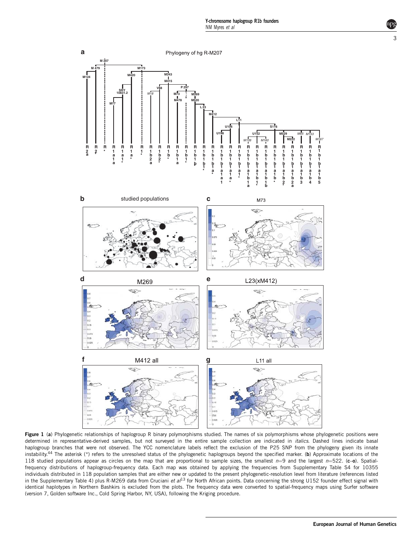<span id="page-2-0"></span>

Figure 1 (a) Phylogenetic relationships of haplogroup R binary polymorphisms studied. The names of six polymorphisms whose phylogenetic positions were determined in representative-derived samples, but not surveyed in the entire sample collection are indicated in *italics*. Dashed lines indicate basal haplogroup branches that were not observed. The YCC nomenclature labels reflect the exclusion of the P25 SNP from the phylogeny given its innate instability.<sup>[44](#page-6-0)</sup> The asterisk (\*) refers to the unresolved status of the phylogenetic haplogroups beyond the specified marker. (b) Approximate locations of the 118 studied populations appear as circles on the map that are proportional to sample sizes, the smallest  $n=9$  and the largest  $n=522$ . (c-o). Spatialfrequency distributions of haplogroup-frequency data. Each map was obtained by applying the frequencies from Supplementary Table S4 for 10355 individuals distributed in 118 population samples that are either new or updated to the present phylogenetic-resolution level from literature (references listed in the Supplementary Table 4) plus R-M269 data from Cruciani et  $a/13$  $a/13$  for North African points. Data concerning the strong U152 founder effect signal with identical haplotypes in Northern Bashkirs is excluded from the plots. The frequency data were converted to spatial-frequency maps using Surfer software (version 7, Golden software Inc., Cold Spring Harbor, NY, USA), following the Kriging procedure.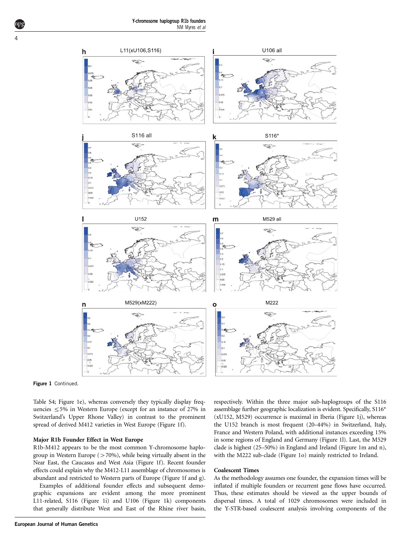

Figure 1 Continued.

Table S4; [Figure 1e](#page-2-0)), whereas conversely they typically display frequencies  $\leq$  5% in Western Europe (except for an instance of 27% in Switzerland's Upper Rhone Valley) in contrast to the prominent spread of derived M412 varieties in West Europe ([Figure 1f](#page-2-0)).

#### Major R1b Founder Effect in West Europe

R1b-M412 appears to be the most common Y-chromosome haplogroup in Western Europe ( $>70\%$ ), while being virtually absent in the Near East, the Caucasus and West Asia ([Figure 1f](#page-2-0)). Recent founder effects could explain why the M412-L11 assemblage of chromosomes is abundant and restricted to Western parts of Europe ([Figure 1f and g](#page-2-0)).

Examples of additional founder effects and subsequent demographic expansions are evident among the more prominent L11-related, S116 [\(Figure 1i\)](#page-2-0) and U106 [\(Figure 1k\)](#page-2-0) components that generally distribute West and East of the Rhine river basin,

respectively. Within the three major sub-haplogroups of the S116 assemblage further geographic localization is evident. Specifically, S116\* (xU152, M529) occurrence is maximal in Iberia ([Figure 1j](#page-2-0)), whereas the U152 branch is most frequent (20–44%) in Switzerland, Italy, France and Western Poland, with additional instances exceeding 15% in some regions of England and Germany [\(Figure 1l\)](#page-2-0). Last, the M529 clade is highest (25–50%) in England and Ireland ([Figure 1m and n](#page-2-0)), with the M222 sub-clade ([Figure 1o\)](#page-2-0) mainly restricted to Ireland.

#### Coalescent Times

As the methodology assumes one founder, the expansion times will be inflated if multiple founders or recurrent gene flows have occurred. Thus, these estimates should be viewed as the upper bounds of dispersal times. A total of 1029 chromosomes were included in the Y-STR-based coalescent analysis involving components of the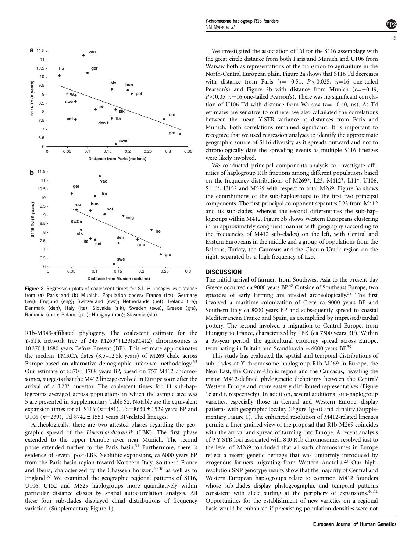<span id="page-4-0"></span>

Figure 2 Regression plots of coalescent times for S116 lineages vs distance from (a) Paris and (b) Munich. Population codes: France (fra); Germany (ger); England (eng); Switzerland (swz); Netherlands (net), Ireland (ire); Denmark (den); Italy (ita); Slovakia (slk); Sweden (swe); Greece (gre); Romania (rom); Poland (pol); Hungary (hun); Slovenia (slo).

R1b-M343-affiliated phylogeny. The coalescent estimate for the Y-STR network tree of 245 M269\*+L23(xM412) chromosomes is 10 270±1680 years Before Present (BP). This estimate approximates the median TMRCA dates (8.5–12.5k years) of M269 clade across Europe based on alternative demographic inference methodology.<sup>[33](#page-6-0)</sup> Our estimate of 8870±1708 years BP, based on 757 M412 chromosomes, suggests that the M412 lineage evolved in Europe soon after the arrival of a L23\* ancestor. The coalescent times for 11 sub-haplogroups averaged across populations in which the sample size was 5 are presented in Supplementary Table S2. Notable are the equivalent expansion times for all S116 ( $n=481$ ), Td=8630  $\pm$  1529 years BP and U106 ( $n=239$ ), Td 8742 ± 1551 years BP-related lineages.

Archeologically, there are two attested phases regarding the geographic spread of the Linearbandkeramik (LBK). The first phase extended to the upper Danube river near Munich. The second phase extended further to the Paris basin.<sup>34</sup> Furthermore, there is evidence of several post-LBK Neolithic expansions, ca 6000 years BP from the Paris basin region toward Northern Italy, Southern France and Iberia, characterized by the Chasseen horizon,<sup>[35,36](#page-6-0)</sup> as well as to England[.37](#page-6-0) We examined the geographic regional patterns of S116, U106, U152 and M529 haplogroups more quantitatively within particular distance classes by spatial autocorrelation analysis. All these four sub-clades displayed clinal distributions of frequency variation (Supplementary Figure 1).

We investigated the association of Td for the S116 assemblage with the great circle distance from both Paris and Munich and U106 from Warsaw both as representations of the transition to agriculture in the North-Central European plain. Figure 2a shows that S116 Td decreases with distance from Paris ( $r=-0.51$ ,  $P<0.025$ ,  $n=16$  one-tailed Pearson's) and Figure 2b with distance from Munich  $(r=-0.49,$  $P<0.05$ ,  $n=16$  one-tailed Pearson's). There was no significant correlation of U106 Td with distance from Warsaw  $(r=-0.40, \text{ns})$ . As Td estimates are sensitive to outliers, we also calculated the correlations between the mean Y-STR variance at distances from Paris and Munich. Both correlations remained significant. It is important to recognize that we used regression analyses to identify the approximate geographic source of S116 diversity as it spreads outward and not to chronologically date the spreading events as multiple S116 lineages were likely involved.

We conducted principal components analysis to investigate affinities of haplogroup R1b fractions among different populations based on the frequency distributions of M269\*, L23, M412\*, L11\*, U106, S116\*, U152 and M529 with respect to total M269. [Figure 3a](#page-5-0) shows the contributions of the sub-haplogroups to the first two principal components. The first principal component separates L23 from M412 and its sub-clades, whereas the second differentiates the sub-haplogroups within M412. [Figure 3b](#page-5-0) shows Western Europeans clustering in an approximately congruent manner with geography (according to the frequencies of M412 sub-clades) on the left, with Central and Eastern Europeans in the middle and a group of populations from the Balkans, Turkey, the Caucasus and the Circum-Uralic region on the right, separated by a high frequency of L23.

#### **DISCUSSION**

The initial arrival of farmers from Southwest Asia to the present-day Greece occurred ca 9000 years BP.[38](#page-6-0) Outside of Southeast Europe, two episodes of early farming are attested archeologically.<sup>[39](#page-6-0)</sup> The first involved a maritime colonization of Crete ca 9000 years BP and Southern Italy ca 8000 years BP and subsequently spread to coastal Mediterranean France and Spain, as exemplified by impressed/cardial pottery. The second involved a migration to Central Europe, from Hungary to France, characterized by LBK (ca 7500 years BP). Within a 3k-year period, the agricultural economy spread across Europe, terminating in Britain and Scandinavia  $\sim$  6000 years BP.<sup>39</sup>

This study has evaluated the spatial and temporal distributions of sub-clades of Y-chromosome haplogroup R1b-M269 in Europe, the Near East, the Circum-Uralic region and the Caucasus, revealing the major M412-defined phylogenetic dichotomy between the Central/ Western Europe and more easterly distributed representatives ([Figure](#page-2-0) [1e and f,](#page-2-0) respectively). In addition, several additional sub-haplogroup varieties, especially those in Central and Western Europe, display patterns with geographic locality ([Figure 1g–o\)](#page-2-0) and clinality (Supplementary Figure 1). The enhanced resolution of M412-related lineages permits a finer-grained view of the proposal that R1b-M269 coincides with the arrival and spread of farming into Europe. A recent analysis of 9 Y-STR loci associated with 840 R1b chromosomes resolved just to the level of M269 concluded that all such chromosomes in Europe reflect a recent genetic heritage that was uniformly introduced by exogenous farmers migrating from Western Anatolia.<sup>[23](#page-6-0)</sup> Our highresolution SNP genotype results show that the majority of Central and Western European haplogroups relate to common M412 founders whose sub-clades display phylogeographic and temporal patterns consistent with allele surfing at the periphery of expansions.[40,41](#page-6-0) Opportunities for the establishment of new varieties on a regional basis would be enhanced if preexisting population densities were not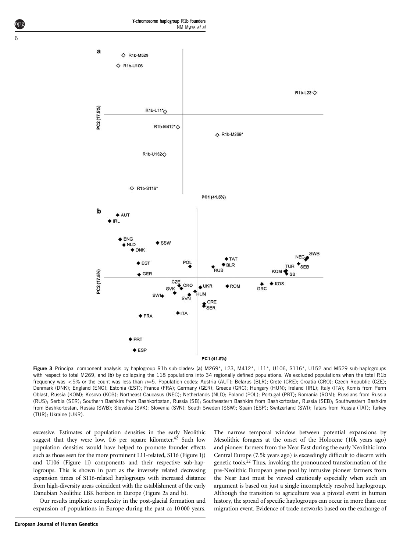<span id="page-5-0"></span>

Figure 3 Principal component analysis by haplogroup R1b sub-clades: (a) M269\*, L23, M412\*, L11\*, U106, S116\*, U152 and M529 sub-haplogroups with respect to total M269, and (b) by collapsing the 118 populations into 34 regionally defined populations. We excluded populations when the total R1b frequency was <5% or the count was less than  $n=5$ . Population codes: Austria (AUT); Belarus (BLR); Crete (CRE); Croatia (CRO); Czech Republic (CZE); Denmark (DNK); England (ENG); Estonia (EST); France (FRA); Germany (GER); Greece (GRC); Hungary (HUN); Ireland (IRL); Italy (ITA); Komis from Perm Oblast, Russia (KOM); Kosovo (KOS); Northeast Caucasus (NEC); Netherlands (NLD); Poland (POL); Portugal (PRT); Romania (ROM); Russians from Russia (RUS); Serbia (SER); Southern Bashkirs from Bashkortostan, Russia (SB); Southeastern Bashkirs from Bashkortostan, Russia (SEB); Southwestern Bashkirs from Bashkortostan, Russia (SWB); Slovakia (SVK); Slovenia (SVN); South Sweden (SSW); Spain (ESP); Switzerland (SWI); Tatars from Russia (TAT); Turkey (TUR); Ukraine (UKR).

excessive. Estimates of population densities in the early Neolithic suggest that they were low, 0.6 per square kilometer.<sup>42</sup> Such low population densities would have helped to promote founder effects such as those seen for the more prominent L11-related, S116 [\(Figure 1j\)](#page-2-0) and U106 [\(Figure 1i\)](#page-2-0) components and their respective sub-haplogroups. This is shown in part as the inversely related decreasing expansion times of S116-related haplogroups with increased distance from high-diversity areas coincident with the establishment of the early Danubian Neolithic LBK horizon in Europe [\(Figure 2a and b\)](#page-4-0).

Our results implicate complexity in the post-glacial formation and expansion of populations in Europe during the past ca 10 000 years.

The narrow temporal window between potential expansions by Mesolithic foragers at the onset of the Holocene (10k years ago) and pioneer farmers from the Near East during the early Neolithic into Central Europe (7.5k years ago) is exceedingly difficult to discern with genetic tools[.22](#page-6-0) Thus, invoking the pronounced transformation of the pre-Neolithic European gene pool by intrusive pioneer farmers from the Near East must be viewed cautiously especially when such an argument is based on just a single incompletely resolved haplogroup. Although the transition to agriculture was a pivotal event in human history, the spread of specific haplogroups can occur in more than one migration event. Evidence of trade networks based on the exchange of